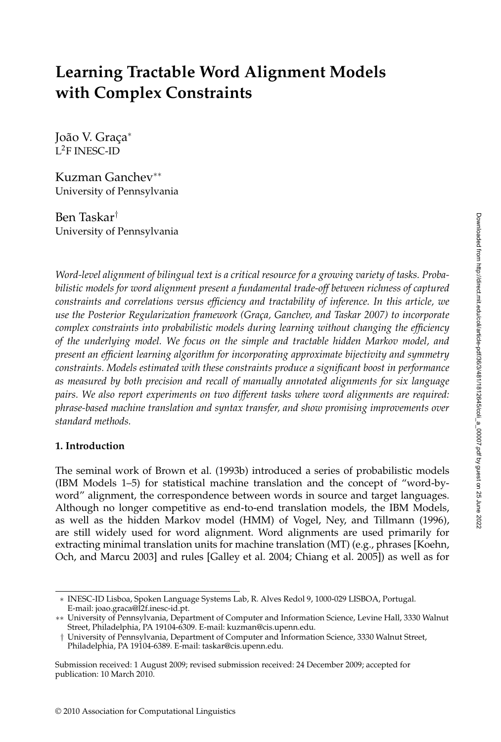# **Learning Tractable Word Alignment Models with Complex Constraints**

João V. Graça<sup>∗</sup> L2F INESC-ID

Kuzman Ganchev∗∗ University of Pennsylvania

Ben Taskar† University of Pennsylvania

*Word-level alignment of bilingual text is a critical resource for a growing variety of tasks. Probabilistic models for word alignment present a fundamental trade-off between richness of captured constraints and correlations versus efficiency and tractability of inference. In this article, we use the Posterior Regularization framework (Gra¸ca, Ganchev, and Taskar 2007) to incorporate complex constraints into probabilistic models during learning without changing the efficiency of the underlying model. We focus on the simple and tractable hidden Markov model, and present an efficient learning algorithm for incorporating approximate bijectivity and symmetry constraints. Models estimated with these constraints produce a significant boost in performance as measured by both precision and recall of manually annotated alignments for six language pairs. We also report experiments on two different tasks where word alignments are required: phrase-based machine translation and syntax transfer, and show promising improvements over standard methods.*

#### **1. Introduction**

The seminal work of Brown et al. (1993b) introduced a series of probabilistic models (IBM Models 1–5) for statistical machine translation and the concept of "word-byword" alignment, the correspondence between words in source and target languages. Although no longer competitive as end-to-end translation models, the IBM Models, as well as the hidden Markov model (HMM) of Vogel, Ney, and Tillmann (1996), are still widely used for word alignment. Word alignments are used primarily for extracting minimal translation units for machine translation (MT) (e.g., phrases [Koehn, Och, and Marcu 2003] and rules [Galley et al. 2004; Chiang et al. 2005]) as well as for

<sup>∗</sup> INESC-ID Lisboa, Spoken Language Systems Lab, R. Alves Redol 9, 1000-029 LISBOA, Portugal. E-mail: joao.graca@l2f.inesc-id.pt.

<sup>∗∗</sup> University of Pennsylvania, Department of Computer and Information Science, Levine Hall, 3330 Walnut Street, Philadelphia, PA 19104-6309. E-mail: kuzman@cis.upenn.edu.

<sup>†</sup> University of Pennsylvania, Department of Computer and Information Science, 3330 Walnut Street,

Philadelphia, PA 19104-6389. E-mail: taskar@cis.upenn.edu.

Submission received: 1 August 2009; revised submission received: 24 December 2009; accepted for publication: 10 March 2010.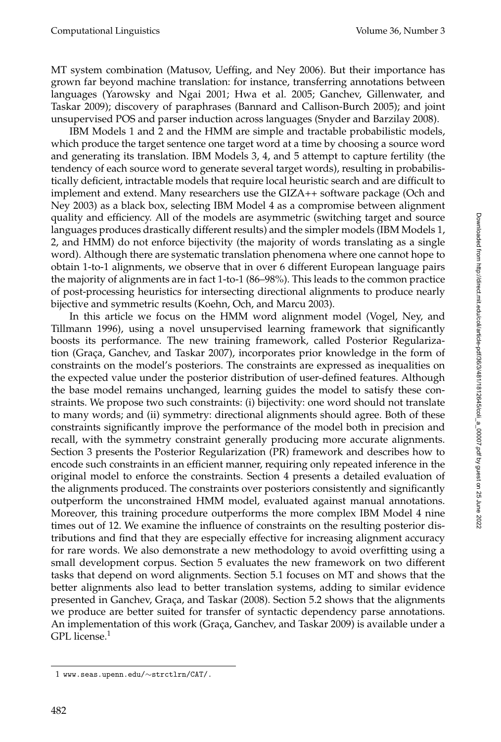MT system combination (Matusov, Ueffing, and Ney 2006). But their importance has grown far beyond machine translation: for instance, transferring annotations between languages (Yarowsky and Ngai 2001; Hwa et al. 2005; Ganchev, Gillenwater, and Taskar 2009); discovery of paraphrases (Bannard and Callison-Burch 2005); and joint unsupervised POS and parser induction across languages (Snyder and Barzilay 2008).

IBM Models 1 and 2 and the HMM are simple and tractable probabilistic models, which produce the target sentence one target word at a time by choosing a source word and generating its translation. IBM Models 3, 4, and 5 attempt to capture fertility (the tendency of each source word to generate several target words), resulting in probabilistically deficient, intractable models that require local heuristic search and are difficult to implement and extend. Many researchers use the GIZA++ software package (Och and Ney 2003) as a black box, selecting IBM Model 4 as a compromise between alignment quality and efficiency. All of the models are asymmetric (switching target and source languages produces drastically different results) and the simpler models (IBM Models 1, 2, and HMM) do not enforce bijectivity (the majority of words translating as a single word). Although there are systematic translation phenomena where one cannot hope to obtain 1-to-1 alignments, we observe that in over 6 different European language pairs the majority of alignments are in fact 1-to-1 (86–98%). This leads to the common practice of post-processing heuristics for intersecting directional alignments to produce nearly bijective and symmetric results (Koehn, Och, and Marcu 2003).

In this article we focus on the HMM word alignment model (Vogel, Ney, and Tillmann 1996), using a novel unsupervised learning framework that significantly boosts its performance. The new training framework, called Posterior Regularization (Graça, Ganchev, and Taskar 2007), incorporates prior knowledge in the form of constraints on the model's posteriors. The constraints are expressed as inequalities on the expected value under the posterior distribution of user-defined features. Although the base model remains unchanged, learning guides the model to satisfy these constraints. We propose two such constraints: (i) bijectivity: one word should not translate to many words; and (ii) symmetry: directional alignments should agree. Both of these constraints significantly improve the performance of the model both in precision and recall, with the symmetry constraint generally producing more accurate alignments. Section 3 presents the Posterior Regularization (PR) framework and describes how to encode such constraints in an efficient manner, requiring only repeated inference in the original model to enforce the constraints. Section 4 presents a detailed evaluation of the alignments produced. The constraints over posteriors consistently and significantly outperform the unconstrained HMM model, evaluated against manual annotations. Moreover, this training procedure outperforms the more complex IBM Model 4 nine times out of 12. We examine the influence of constraints on the resulting posterior distributions and find that they are especially effective for increasing alignment accuracy for rare words. We also demonstrate a new methodology to avoid overfitting using a small development corpus. Section 5 evaluates the new framework on two different tasks that depend on word alignments. Section 5.1 focuses on MT and shows that the better alignments also lead to better translation systems, adding to similar evidence presented in Ganchev, Graça, and Taskar (2008). Section 5.2 shows that the alignments we produce are better suited for transfer of syntactic dependency parse annotations. An implementation of this work (Graça, Ganchev, and Taskar 2009) is available under a GPL license. $1$ 

<sup>1</sup> www.seas.upenn.edu/∼strctlrn/CAT/.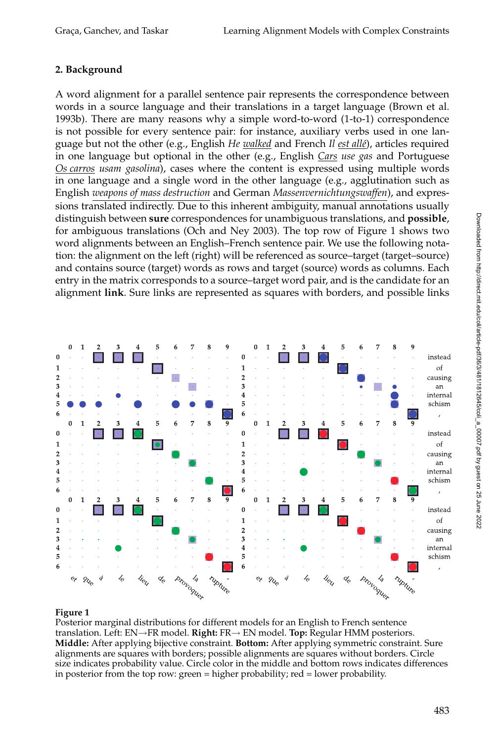# **2. Background**

A word alignment for a parallel sentence pair represents the correspondence between words in a source language and their translations in a target language (Brown et al. 1993b). There are many reasons why a simple word-to-word (1-to-1) correspondence is not possible for every sentence pair: for instance, auxiliary verbs used in one language but not the other (e.g., English *He walked* and French *Il est allé*), articles required in one language but optional in the other (e.g., English *Cars use gas* and Portuguese *Os carros usam gasolina*), cases where the content is expressed using multiple words in one language and a single word in the other language (e.g., agglutination such as English *weapons of mass destruction* and German *Massenvernichtungswaffen*), and expressions translated indirectly. Due to this inherent ambiguity, manual annotations usually distinguish between **sure** correspondences for unambiguous translations, and **possible**, for ambiguous translations (Och and Ney 2003). The top row of Figure 1 shows two word alignments between an English–French sentence pair. We use the following notation: the alignment on the left (right) will be referenced as source–target (target–source) and contains source (target) words as rows and target (source) words as columns. Each entry in the matrix corresponds to a source–target word pair, and is the candidate for an alignment **link**. Sure links are represented as squares with borders, and possible links



#### **Figure 1**

Posterior marginal distributions for different models for an English to French sentence translation. Left: EN→FR model. **Right:** FR→ EN model. **Top:** Regular HMM posteriors. **Middle:** After applying bijective constraint. **Bottom:** After applying symmetric constraint. Sure alignments are squares with borders; possible alignments are squares without borders. Circle size indicates probability value. Circle color in the middle and bottom rows indicates differences in posterior from the top row: green = higher probability; red = lower probability.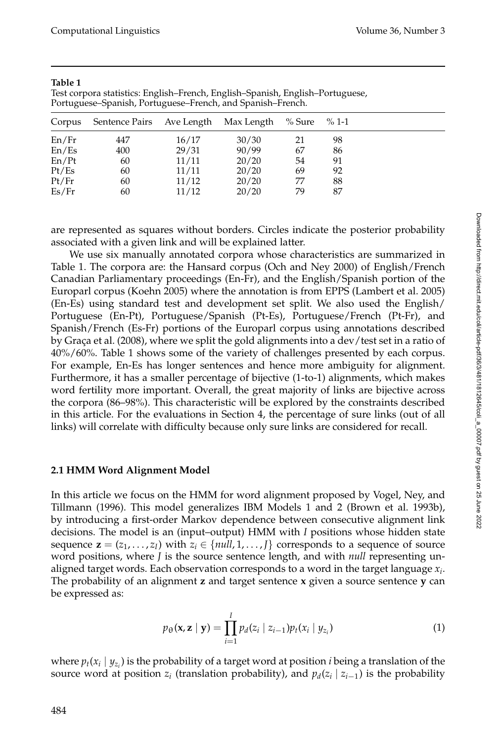| Corpus | Sentence Pairs Ave Length Max Length % Sure |       |       |    | $\%$ 1-1 |
|--------|---------------------------------------------|-------|-------|----|----------|
| En/Fr  | 447                                         | 16/17 | 30/30 | 21 | 98       |
| En/Es  | 400                                         | 29/31 | 90/99 | 67 | 86       |
| En/Pt  | 60                                          | 11/11 | 20/20 | 54 | 91       |
| Pt/Es  | 60                                          | 11/11 | 20/20 | 69 | 92       |
| Pt/Fr  | 60                                          | 11/12 | 20/20 | 77 | 88       |
| Es/Fr  | 60                                          | 11/12 | 20/20 | 79 | 87       |

#### **Table 1**

Test corpora statistics: English–French, English–Spanish, English–Portuguese, Portuguese–Spanish, Portuguese–French, and Spanish–French.

are represented as squares without borders. Circles indicate the posterior probability associated with a given link and will be explained latter.

We use six manually annotated corpora whose characteristics are summarized in Table 1. The corpora are: the Hansard corpus (Och and Ney 2000) of English/French Canadian Parliamentary proceedings (En-Fr), and the English/Spanish portion of the Europarl corpus (Koehn 2005) where the annotation is from EPPS (Lambert et al. 2005) (En-Es) using standard test and development set split. We also used the English/ Portuguese (En-Pt), Portuguese/Spanish (Pt-Es), Portuguese/French (Pt-Fr), and Spanish/French (Es-Fr) portions of the Europarl corpus using annotations described by Graça et al. (2008), where we split the gold alignments into a dev/test set in a ratio of 40%/60%. Table 1 shows some of the variety of challenges presented by each corpus. For example, En-Es has longer sentences and hence more ambiguity for alignment. Furthermore, it has a smaller percentage of bijective (1-to-1) alignments, which makes word fertility more important. Overall, the great majority of links are bijective across the corpora (86–98%). This characteristic will be explored by the constraints described in this article. For the evaluations in Section 4, the percentage of sure links (out of all links) will correlate with difficulty because only sure links are considered for recall.

#### **2.1 HMM Word Alignment Model**

In this article we focus on the HMM for word alignment proposed by Vogel, Ney, and Tillmann (1996). This model generalizes IBM Models 1 and 2 (Brown et al. 1993b), by introducing a first-order Markov dependence between consecutive alignment link decisions. The model is an (input–output) HMM with *I* positions whose hidden state sequence  $\mathbf{z} = (z_1, \ldots, z_I)$  with  $z_i \in \{null, 1, \ldots, I\}$  corresponds to a sequence of source word positions, where *J* is the source sentence length, and with *null* representing unaligned target words. Each observation corresponds to a word in the target language *xi*. The probability of an alignment **z** and target sentence **x** given a source sentence **y** can be expressed as:

$$
p_{\theta}(\mathbf{x}, \mathbf{z} \mid \mathbf{y}) = \prod_{i=1}^{I} p_d(z_i \mid z_{i-1}) p_t(x_i \mid y_{z_i})
$$
\n(1)

where  $p_t(x_i \mid y_{z_i})$  is the probability of a target word at position *i* being a translation of the source word at position  $z_i$  (translation probability), and  $p_d(z_i | z_{i-1})$  is the probability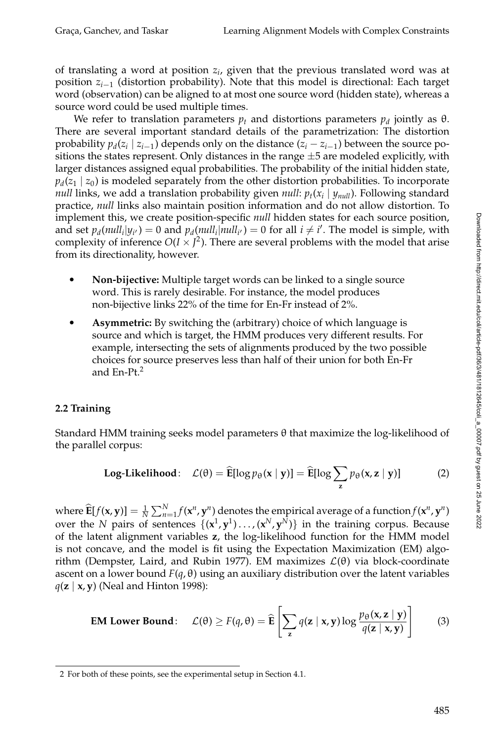of translating a word at position *zi*, given that the previous translated word was at position *zi*−<sup>1</sup> (distortion probability). Note that this model is directional: Each target word (observation) can be aligned to at most one source word (hidden state), whereas a source word could be used multiple times.

We refer to translation parameters  $p_t$  and distortions parameters  $p_d$  jointly as  $\theta$ . There are several important standard details of the parametrization: The distortion probability  $p_d(z_i | z_{i-1})$  depends only on the distance  $(z_i - z_{i-1})$  between the source positions the states represent. Only distances in the range  $\pm 5$  are modeled explicitly, with larger distances assigned equal probabilities. The probability of the initial hidden state,  $p_d(z_1 | z_0)$  is modeled separately from the other distortion probabilities. To incorporate *null* links, we add a translation probability given *null*:  $p_t(x_i | y_{null})$ . Following standard practice, *null* links also maintain position information and do not allow distortion. To implement this, we create position-specific *null* hidden states for each source position, and set  $p_d(\textit{null}_i|y_{i'}) = 0$  and  $p_d(\textit{null}_i|\textit{null}_{i'}) = 0$  for all  $i \neq i'$ . The model is simple, with complexity of inference  $O(I \times J^2)$ . There are several problems with the model that arise from its directionality, however.

- - **Non-bijective:** Multiple target words can be linked to a single source word. This is rarely desirable. For instance, the model produces non-bijective links 22% of the time for En-Fr instead of 2%.
- $\bullet$  **Asymmetric:** By switching the (arbitrary) choice of which language is source and which is target, the HMM produces very different results. For example, intersecting the sets of alignments produced by the two possible choices for source preserves less than half of their union for both En-Fr and En-Pt.<sup>2</sup>

#### **2.2 Training**

Standard HMM training seeks model parameters θ that maximize the log-likelihood of the parallel corpus:

Log-Likelihood: 
$$
\mathcal{L}(\theta) = \widehat{\mathbf{E}}[\log p_{\theta}(\mathbf{x} \mid \mathbf{y})] = \widehat{\mathbf{E}}[\log \sum_{\mathbf{z}} p_{\theta}(\mathbf{x}, \mathbf{z} \mid \mathbf{y})]
$$
 (2)

where  $\widehat{\mathbf{E}}[f(\mathbf{x}, \mathbf{y})] = \frac{1}{N} \sum_{n=1}^{N} f(\mathbf{x}^n, \mathbf{y}^n)$  denotes the empirical average of a function  $f(\mathbf{x}^n, \mathbf{y}^n)$ over the *N* pairs of sentences  $\{(\mathbf{x}^1, \mathbf{y}^1) \dots, (\mathbf{x}^N, \mathbf{y}^N)\}\$ in the training corpus. Because of the latent alignment variables **z**, the log-likelihood function for the HMM model is not concave, and the model is fit using the Expectation Maximization (EM) algorithm (Dempster, Laird, and Rubin 1977). EM maximizes  $\mathcal{L}(\theta)$  via block-coordinate ascent on a lower bound  $F(q, \theta)$  using an auxiliary distribution over the latent variables *q*(**z** | **x**, **y**) (Neal and Hinton 1998):

**EM Lower Bound:** 
$$
\mathcal{L}(\theta) \ge F(q, \theta) = \widehat{\mathbf{E}} \left[ \sum_{\mathbf{z}} q(\mathbf{z} \mid \mathbf{x}, \mathbf{y}) \log \frac{p_{\theta}(\mathbf{x}, \mathbf{z} \mid \mathbf{y})}{q(\mathbf{z} \mid \mathbf{x}, \mathbf{y})} \right]
$$
 (3)

<sup>2</sup> For both of these points, see the experimental setup in Section 4.1.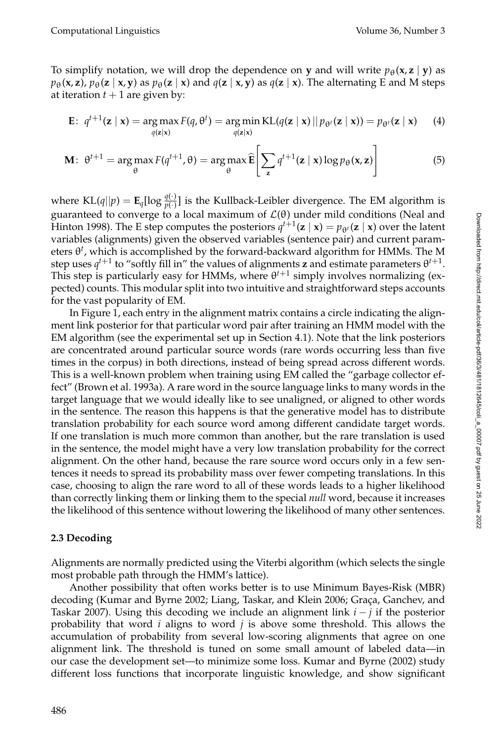To simplify notation, we will drop the dependence on **y** and will write  $p_{\theta}(\mathbf{x}, \mathbf{z} \mid \mathbf{y})$  as  $p_{\theta}(\mathbf{x}, \mathbf{z})$ ,  $p_{\theta}(\mathbf{z} \mid \mathbf{x}, \mathbf{y})$  as  $p_{\theta}(\mathbf{z} \mid \mathbf{x})$  and  $q(\mathbf{z} \mid \mathbf{x}, \mathbf{y})$  as  $q(\mathbf{z} \mid \mathbf{x})$ . The alternating E and M steps at iteration  $t + 1$  are given by:

$$
\mathbf{E}: \ q^{t+1}(\mathbf{z} \mid \mathbf{x}) = \argmax_{q(\mathbf{z} \mid \mathbf{x})} F(q, \theta^t) = \argmin_{q(\mathbf{z} \mid \mathbf{x})} \text{KL}(q(\mathbf{z} \mid \mathbf{x}) \mid p_{\theta^t}(\mathbf{z} \mid \mathbf{x})) = p_{\theta^t}(\mathbf{z} \mid \mathbf{x}) \qquad (4)
$$

$$
\mathbf{M}: \ \theta^{t+1} = \arg\max_{\theta} F(q^{t+1}, \theta) = \arg\max_{\theta} \widehat{\mathbf{E}} \left[ \sum_{\mathbf{z}} q^{t+1}(\mathbf{z} \mid \mathbf{x}) \log p_{\theta}(\mathbf{x}, \mathbf{z}) \right]
$$
(5)

where  $KL(q||p) = \mathbf{E}_q[\log \frac{q(\cdot)}{p(\cdot)}]$  is the Kullback-Leibler divergence. The EM algorithm is guaranteed to converge to a local maximum of  $\mathcal{L}(\theta)$  under mild conditions (Neal and Hinton 1998). The E step computes the posteriors  $q^{t+1}(\mathbf{z} \mid \mathbf{x}) = p_{\theta^t}(\mathbf{z} \mid \mathbf{x})$  over the latent variables (alignments) given the observed variables (sentence pair) and current parameters θ*<sup>t</sup>* , which is accomplished by the forward-backward algorithm for HMMs. The M step uses  $q^{t+1}$  to "softly fill in" the values of alignments **z** and estimate parameters  $\theta^{t+1}$ . This step is particularly easy for HMMs, where  $\theta^{t+1}$  simply involves normalizing (expected) counts. This modular split into two intuitive and straightforward steps accounts for the vast popularity of EM.

In Figure 1, each entry in the alignment matrix contains a circle indicating the alignment link posterior for that particular word pair after training an HMM model with the EM algorithm (see the experimental set up in Section 4.1). Note that the link posteriors are concentrated around particular source words (rare words occurring less than five times in the corpus) in both directions, instead of being spread across different words. This is a well-known problem when training using EM called the "garbage collector effect" (Brown et al. 1993a). A rare word in the source language links to many words in the target language that we would ideally like to see unaligned, or aligned to other words in the sentence. The reason this happens is that the generative model has to distribute translation probability for each source word among different candidate target words. If one translation is much more common than another, but the rare translation is used in the sentence, the model might have a very low translation probability for the correct alignment. On the other hand, because the rare source word occurs only in a few sentences it needs to spread its probability mass over fewer competing translations. In this case, choosing to align the rare word to all of these words leads to a higher likelihood than correctly linking them or linking them to the special *null* word, because it increases the likelihood of this sentence without lowering the likelihood of many other sentences.

#### **2.3 Decoding**

Alignments are normally predicted using the Viterbi algorithm (which selects the single most probable path through the HMM's lattice).

Another possibility that often works better is to use Minimum Bayes-Risk (MBR) decoding (Kumar and Byrne 2002; Liang, Taskar, and Klein 2006; Graça, Ganchev, and Taskar 2007). Using this decoding we include an alignment link *i* − *j* if the posterior probability that word *i* aligns to word *j* is above some threshold. This allows the accumulation of probability from several low-scoring alignments that agree on one alignment link. The threshold is tuned on some small amount of labeled data—in our case the development set—to minimize some loss. Kumar and Byrne (2002) study different loss functions that incorporate linguistic knowledge, and show significant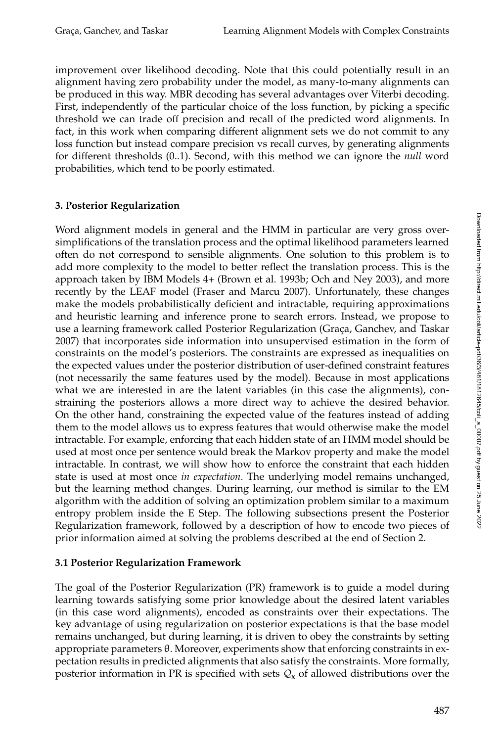improvement over likelihood decoding. Note that this could potentially result in an alignment having zero probability under the model, as many-to-many alignments can be produced in this way. MBR decoding has several advantages over Viterbi decoding. First, independently of the particular choice of the loss function, by picking a specific threshold we can trade off precision and recall of the predicted word alignments. In fact, in this work when comparing different alignment sets we do not commit to any loss function but instead compare precision vs recall curves, by generating alignments for different thresholds (0..1). Second, with this method we can ignore the *null* word probabilities, which tend to be poorly estimated.

#### **3. Posterior Regularization**

Word alignment models in general and the HMM in particular are very gross oversimplifications of the translation process and the optimal likelihood parameters learned often do not correspond to sensible alignments. One solution to this problem is to add more complexity to the model to better reflect the translation process. This is the approach taken by IBM Models 4+ (Brown et al. 1993b; Och and Ney 2003), and more recently by the LEAF model (Fraser and Marcu 2007). Unfortunately, these changes make the models probabilistically deficient and intractable, requiring approximations and heuristic learning and inference prone to search errors. Instead, we propose to use a learning framework called Posterior Regularization (Graça, Ganchev, and Taskar 2007) that incorporates side information into unsupervised estimation in the form of constraints on the model's posteriors. The constraints are expressed as inequalities on the expected values under the posterior distribution of user-defined constraint features (not necessarily the same features used by the model). Because in most applications what we are interested in are the latent variables (in this case the alignments), constraining the posteriors allows a more direct way to achieve the desired behavior. On the other hand, constraining the expected value of the features instead of adding them to the model allows us to express features that would otherwise make the model intractable. For example, enforcing that each hidden state of an HMM model should be used at most once per sentence would break the Markov property and make the model intractable. In contrast, we will show how to enforce the constraint that each hidden state is used at most once *in expectation*. The underlying model remains unchanged, but the learning method changes. During learning, our method is similar to the EM algorithm with the addition of solving an optimization problem similar to a maximum entropy problem inside the E Step. The following subsections present the Posterior Regularization framework, followed by a description of how to encode two pieces of prior information aimed at solving the problems described at the end of Section 2.

#### **3.1 Posterior Regularization Framework**

The goal of the Posterior Regularization (PR) framework is to guide a model during learning towards satisfying some prior knowledge about the desired latent variables (in this case word alignments), encoded as constraints over their expectations. The key advantage of using regularization on posterior expectations is that the base model remains unchanged, but during learning, it is driven to obey the constraints by setting appropriate parameters θ. Moreover, experiments show that enforcing constraints in expectation results in predicted alignments that also satisfy the constraints. More formally, posterior information in PR is specified with sets  $Q_x$  of allowed distributions over the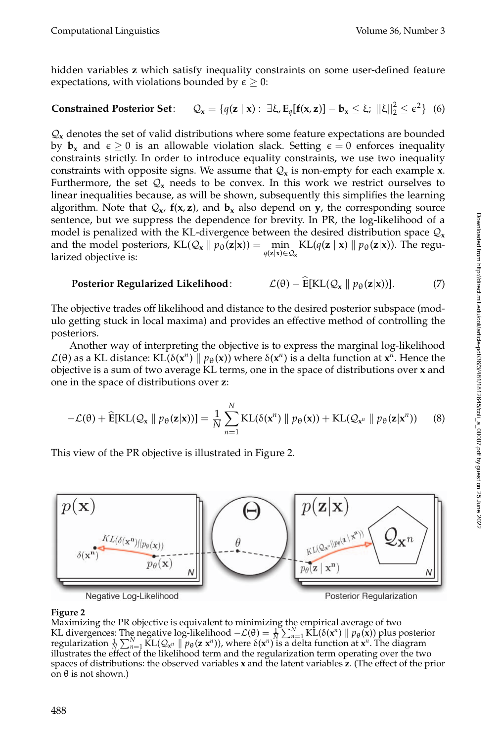hidden variables **z** which satisfy inequality constraints on some user-defined feature expectations, with violations bounded by  $\epsilon \geq 0$ :

# **Constrained Posterior Set:**  $Q_x = \{q(z \mid x) : \exists \xi, E_q[f(x, z)] - b_x \le \xi; ||\xi||_2^2 \le \epsilon^2\}$  (6)

 $\mathcal{Q}_x$  denotes the set of valid distributions where some feature expectations are bounded by  $\mathbf{b}_x$  and  $\epsilon \geq 0$  is an allowable violation slack. Setting  $\epsilon = 0$  enforces inequality constraints strictly. In order to introduce equality constraints, we use two inequality constraints with opposite signs. We assume that  $Q_x$  is non-empty for each example  $x$ . Furthermore, the set  $Q_x$  needs to be convex. In this work we restrict ourselves to linear inequalities because, as will be shown, subsequently this simplifies the learning algorithm. Note that  $Q_x$ ,  $f(x, z)$ , and  $b_x$  also depend on y, the corresponding source sentence, but we suppress the dependence for brevity. In PR, the log-likelihood of a model is penalized with the KL-divergence between the desired distribution space  $Q_x$ and the model posteriors,  $KL(Q_x \mid p_\theta(z|x)) = \min_{z \in \Theta} KL(q(z \mid x) \mid p_\theta(z|x))$ . The regu*q*(**z**|**x**)∈ $Q$ <sub>**x**</sub> larized objective is:

#### **Posterior Regularized Likelihood:**  $\mathcal{L}(\theta) - \widehat{\mathbf{E}}[\text{KL}(\mathcal{Q}_x || p_\theta(\mathbf{z}|\mathbf{x}))].$  (7)

The objective trades off likelihood and distance to the desired posterior subspace (modulo getting stuck in local maxima) and provides an effective method of controlling the posteriors.

Another way of interpreting the objective is to express the marginal log-likelihood  $\mathcal{L}(\theta)$  as a KL distance: KL(δ( $\mathbf{x}^n$ ) ||  $p_\theta(\mathbf{x})$ ) where δ( $\mathbf{x}^n$ ) is a delta function at  $\mathbf{x}^n$ . Hence the objective is a sum of two average KL terms, one in the space of distributions over **x** and one in the space of distributions over **z**:

$$
-\mathcal{L}(\theta) + \widehat{\mathbf{E}}[\mathrm{KL}(\mathcal{Q}_x \parallel p_{\theta}(\mathbf{z}|\mathbf{x}))] = \frac{1}{N} \sum_{n=1}^N \mathrm{KL}(\delta(\mathbf{x}^n) \parallel p_{\theta}(\mathbf{x})) + \mathrm{KL}(\mathcal{Q}_{\mathbf{x}^n} \parallel p_{\theta}(\mathbf{z}|\mathbf{x}^n))
$$
(8)

This view of the PR objective is illustrated in Figure 2.



#### **Figure 2**

Maximizing the PR objective is equivalent to minimizing the empirical average of two KL divergences: The negative log-likelihood  $-\mathcal{L}(\theta) = \frac{1}{N} \sum_{n=1}^{N} K_L(\delta(\mathbf{x}^n) \|\ p_{\theta}(\mathbf{x}))$  plus posterior regularization  $\frac{1}{N}\sum_{n=1}^{N} \text{KL}(Q_{\mathbf{x}^n} \|\mathcal{p}_{\theta}(\mathbf{z}|\mathbf{x}^n))$ , where  $\delta(\mathbf{x}^n)$  is a delta function at  $\mathbf{x}^n$ . The diagram illustrates the effect of the likelihood term and the regularization term operating over the two spaces of distributions: the observed variables **x** and the latent variables **z**. (The effect of the prior on θ is not shown.)

Downloaded from http://direct.mit.edu/coli/article-pdf/36/3/481/1812645/coli\_a\_00007.pdf by guest on 25 June 2022 Downloaded from http://direct.mit.edu/coli/article-pdf/36/3/481/1812645/coli\_a\_00007.pdf by guest on 25 June 2022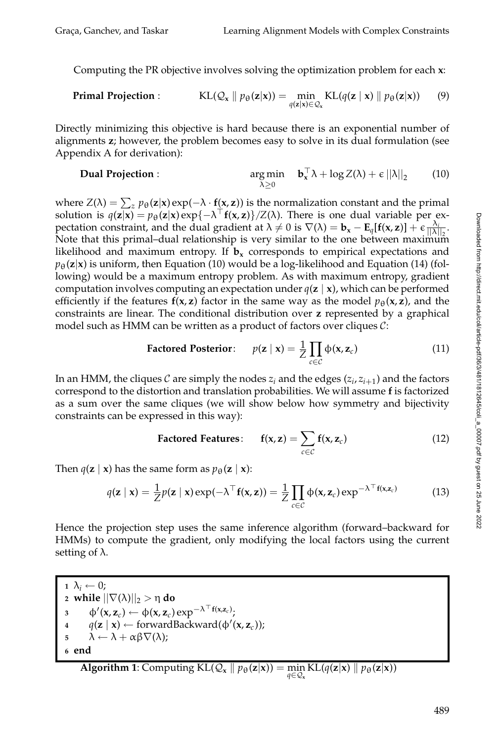Computing the PR objective involves solving the optimization problem for each **x**:

**Primal Projection :** 
$$
KL(Q_x \parallel p_{\theta}(\mathbf{z}|\mathbf{x})) = \min_{q(\mathbf{z}|\mathbf{x}) \in Q_x} KL(q(\mathbf{z} \mid \mathbf{x}) \parallel p_{\theta}(\mathbf{z}|\mathbf{x}))
$$
(9)

Directly minimizing this objective is hard because there is an exponential number of alignments **z**; however, the problem becomes easy to solve in its dual formulation (see Appendix A for derivation):

**Dual Projection :** 
$$
\arg \min_{\lambda \geq 0} \quad \mathbf{b}_x^\top \lambda + \log Z(\lambda) + \epsilon ||\lambda||_2 \qquad (10)
$$

where  $Z(\lambda) = \sum_z p_{\theta}(\mathbf{z}|\mathbf{x}) \exp(-\lambda \cdot \mathbf{f}(\mathbf{x}, \mathbf{z}))$  is the normalization constant and the primal solution is  $q(\mathbf{z}|\mathbf{x}) = p_{\theta}(\mathbf{z}|\mathbf{x}) \exp\{-\lambda^{\top}f(\mathbf{x}, \mathbf{z})\}/Z(\lambda)$ . There is one dual variable per expectation constraint, and the dual gradient at  $\lambda \neq 0$  is  $\nabla(\lambda) = \mathbf{b}_x - \mathbf{E}_q[\mathbf{f}(\mathbf{x}, \mathbf{z})] + \epsilon \frac{\lambda_i}{\|\lambda\|_2}$ . Note that this primal–dual relationship is very similar to the one between maximum likelihood and maximum entropy. If  $\mathbf{b}_x$  corresponds to empirical expectations and  $p_{\theta}(\mathbf{z}|\mathbf{x})$  is uniform, then Equation (10) would be a log-likelihood and Equation (14) (following) would be a maximum entropy problem. As with maximum entropy, gradient computation involves computing an expectation under *q*(**z** | **x**), which can be performed efficiently if the features  $f(x, z)$  factor in the same way as the model  $p_\theta(x, z)$ , and the constraints are linear. The conditional distribution over **z** represented by a graphical model such as HMM can be written as a product of factors over cliques  $C$ :

$$
\text{Factored Posterior:} \quad p(\mathbf{z} \mid \mathbf{x}) = \frac{1}{Z} \prod_{c \in C} \Phi(\mathbf{x}, \mathbf{z}_c) \tag{11}
$$

In an HMM, the cliques C are simply the nodes  $z_i$  and the edges  $(z_i, z_{i+1})$  and the factors correspond to the distortion and translation probabilities. We will assume **f** is factorized as a sum over the same cliques (we will show below how symmetry and bijectivity constraints can be expressed in this way):

Factored Features: 
$$
f(x, z) = \sum_{c \in C} f(x, z_c)
$$
 (12)

Then  $q(\mathbf{z} \mid \mathbf{x})$  has the same form as  $p_{\theta}(\mathbf{z} \mid \mathbf{x})$ :

$$
q(\mathbf{z} \mid \mathbf{x}) = \frac{1}{Z} p(\mathbf{z} \mid \mathbf{x}) \exp(-\lambda^{\top} \mathbf{f}(\mathbf{x}, \mathbf{z})) = \frac{1}{Z} \prod_{c \in C} \Phi(\mathbf{x}, \mathbf{z}_c) \exp^{-\lambda^{\top} \mathbf{f}(\mathbf{x}, \mathbf{z}_c)}
$$
(13)

Hence the projection step uses the same inference algorithm (forward–backward for HMMs) to compute the gradient, only modifying the local factors using the current setting of  $\lambda$ .

**1**  $\lambda_i \leftarrow 0$ ;  $\alpha$  while  $||\nabla(\lambda)||_2 > \eta$  do  $\Phi'(\mathbf{x}, \mathbf{z}_c) \leftarrow \Phi(\mathbf{x}, \mathbf{z}_c) \exp^{-\lambda^{-1} \mathbf{f}(\mathbf{x}, \mathbf{z}_c)};$  $q(\mathbf{z} \mid \mathbf{x}) \leftarrow \text{forwardBackward}(\phi'(\mathbf{x}, \mathbf{z}_c));$  $\begin{aligned} \mathbf{5} \qquad \lambda \leftarrow \lambda + \alpha \beta \nabla(\lambda); \end{aligned}$ **<sup>6</sup> end**

**Algorithm 1:** Computing KL(
$$
Q_x || p_\theta(z|x)
$$
) = min\_{ $q \in Q_x}$ KL( $q(z|x) || p_\theta(z|x)$ )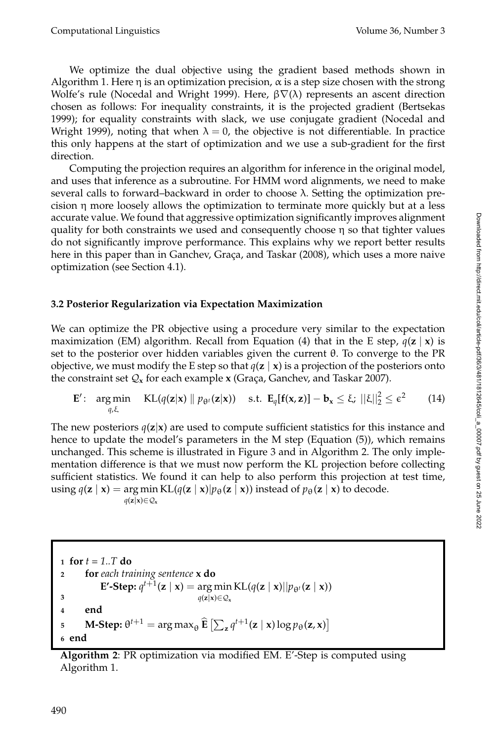We optimize the dual objective using the gradient based methods shown in Algorithm 1. Here  $\eta$  is an optimization precision,  $\alpha$  is a step size chosen with the strong Wolfe's rule (Nocedal and Wright 1999). Here,  $β∇(λ)$  represents an ascent direction chosen as follows: For inequality constraints, it is the projected gradient (Bertsekas 1999); for equality constraints with slack, we use conjugate gradient (Nocedal and Wright 1999), noting that when  $\lambda = 0$ , the objective is not differentiable. In practice this only happens at the start of optimization and we use a sub-gradient for the first direction.

Computing the projection requires an algorithm for inference in the original model, and uses that inference as a subroutine. For HMM word alignments, we need to make several calls to forward–backward in order to choose  $\lambda$ . Setting the optimization precision  $\eta$  more loosely allows the optimization to terminate more quickly but at a less accurate value. We found that aggressive optimization significantly improves alignment quality for both constraints we used and consequently choose  $\eta$  so that tighter values do not significantly improve performance. This explains why we report better results here in this paper than in Ganchev, Graça, and Taskar (2008), which uses a more naive optimization (see Section 4.1).

#### **3.2 Posterior Regularization via Expectation Maximization**

We can optimize the PR objective using a procedure very similar to the expectation maximization (EM) algorithm. Recall from Equation (4) that in the E step,  $q(z | x)$  is set to the posterior over hidden variables given the current θ. To converge to the PR objective, we must modify the E step so that  $q(\mathbf{z} \mid \mathbf{x})$  is a projection of the posteriors onto the constraint set  $Q_x$  for each example **x** (Graça, Ganchev, and Taskar 2007).

$$
\mathbf{E}'\colon \argmin_{q,\xi} \quad \text{KL}(q(\mathbf{z}|\mathbf{x}) \parallel p_{\theta^t}(\mathbf{z}|\mathbf{x})) \quad \text{s.t. } \mathbf{E}_q[\mathbf{f}(\mathbf{x},\mathbf{z})] - \mathbf{b}_\mathbf{x} \leq \xi; \ ||\xi||_2^2 \leq \epsilon^2 \qquad (14)
$$

The new posteriors  $q(z|x)$  are used to compute sufficient statistics for this instance and hence to update the model's parameters in the M step (Equation (5)), which remains unchanged. This scheme is illustrated in Figure 3 and in Algorithm 2. The only implementation difference is that we must now perform the KL projection before collecting sufficient statistics. We found it can help to also perform this projection at test time,  $\text{using } q(\mathbf{z} \mid \mathbf{x}) = \arg \min \text{KL}(q(\mathbf{z} \mid \mathbf{x}) | p_{\theta}(\mathbf{z} \mid \mathbf{x})) \text{ instead of } p_{\theta}(\mathbf{z} \mid \mathbf{x}) \text{ to decode.}$ *q*(**z**|**x**)∈ $Q$ <sub>x</sub>

**<sup>1</sup> for** *t = 1..T* **do <sup>2</sup> for** *each training sentence* **x do E'-Step:**  $q^{t+1}(\mathbf{z} \mid \mathbf{x}) = \arg \min \mathrm{KL}(q(\mathbf{z} \mid \mathbf{x}) || p_{\theta^t}(\mathbf{z} \mid \mathbf{x}))$ *q*(**z**|**x**)∈ $Q$ <sub>**x**</sub> **3 <sup>4</sup> end M-Step:**  $\theta^{t+1} = \arg \max_{\theta} \widehat{\mathbf{E}} \left[ \sum_{\mathbf{z}} q^{t+1}(\mathbf{z} \mid \mathbf{x}) \log p_{\theta}(\mathbf{z}, \mathbf{x}) \right]$ **<sup>6</sup> end**

**Algorithm 2**: PR optimization via modified EM. E'-Step is computed using Algorithm 1.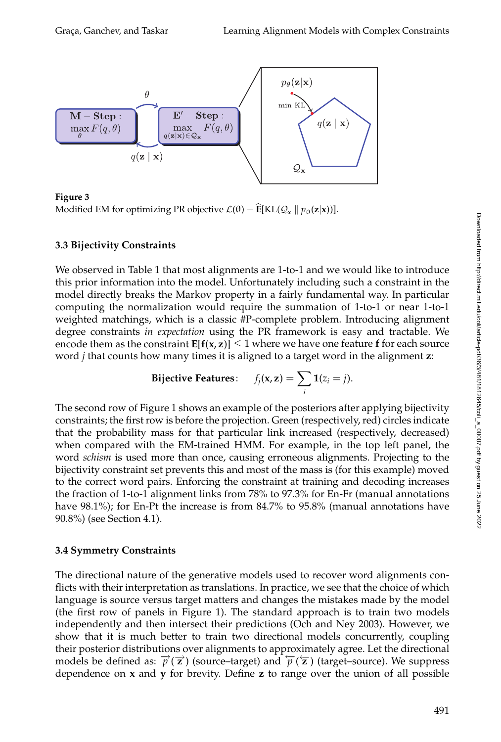

**Figure 3** Modified EM for optimizing PR objective  $\mathcal{L}(\theta) - \mathbf{E}[KL(\mathcal{Q}_{x} \mid p_{\theta}(\mathbf{z}|\mathbf{x}))].$ 

## **3.3 Bijectivity Constraints**

We observed in Table 1 that most alignments are 1-to-1 and we would like to introduce this prior information into the model. Unfortunately including such a constraint in the model directly breaks the Markov property in a fairly fundamental way. In particular computing the normalization would require the summation of 1-to-1 or near 1-to-1 weighted matchings, which is a classic #P-complete problem. Introducing alignment degree constraints *in expectation* using the PR framework is easy and tractable. We encode them as the constraint  $E[f(x, z)] \leq 1$  where we have one feature f for each source word *j* that counts how many times it is aligned to a target word in the alignment **z**:

$$
\textbf{Bijective Features:} \quad f_j(\mathbf{x}, \mathbf{z}) = \sum_i \mathbf{1}(z_i = j).
$$

The second row of Figure 1 shows an example of the posteriors after applying bijectivity constraints; the first row is before the projection. Green (respectively, red) circles indicate that the probability mass for that particular link increased (respectively, decreased) when compared with the EM-trained HMM. For example, in the top left panel, the word *schism* is used more than once, causing erroneous alignments. Projecting to the bijectivity constraint set prevents this and most of the mass is (for this example) moved to the correct word pairs. Enforcing the constraint at training and decoding increases the fraction of 1-to-1 alignment links from 78% to 97.3% for En-Fr (manual annotations have 98.1%); for En-Pt the increase is from 84.7% to 95.8% (manual annotations have 90.8%) (see Section 4.1).

# **3.4 Symmetry Constraints**

The directional nature of the generative models used to recover word alignments conflicts with their interpretation as translations. In practice, we see that the choice of which language is source versus target matters and changes the mistakes made by the model (the first row of panels in Figure 1). The standard approach is to train two models independently and then intersect their predictions (Och and Ney 2003). However, we show that it is much better to train two directional models concurrently, coupling their posterior distributions over alignments to approximately agree. Let the directional models be defined as:  $\vec{p}(\vec{z})$  (source–target) and  $\vec{p}(\vec{z})$  (target–source). We suppress dependence on **x** and **y** for brevity. Define **z** to range over the union of all possible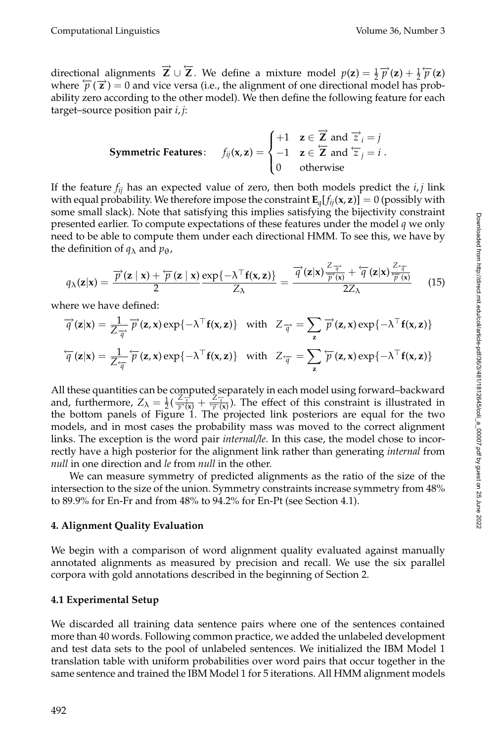directional alignments  $\vec{Z} \cup \vec{Z}$ . We define a mixture model  $p(z) = \frac{1}{2} \vec{p}(z) + \frac{1}{2} \vec{p}(z)$ where  $\overleftarrow{p}(\overrightarrow{z}) = 0$  and vice versa (i.e., the alignment of one directional model has probability zero according to the other model). We then define the following feature for each target–source position pair *i*, *j*:

**Symmetric Features:** 
$$
f_{ij}(\mathbf{x}, \mathbf{z}) = \begin{cases} +1 & \mathbf{z} \in \overrightarrow{\mathbf{Z}} \text{ and } \overrightarrow{z}_i = j \\ -1 & \mathbf{z} \in \overleftarrow{\mathbf{Z}} \text{ and } \overleftarrow{z}_j = i \\ 0 & \text{otherwise} \end{cases}
$$
.

If the feature  $f_{ij}$  has an expected value of zero, then both models predict the  $i, j$  link with equal probability. We therefore impose the constraint  $\mathbf{E}_q[f_{ii}(\mathbf{x}, \mathbf{z})] = 0$  (possibly with some small slack). Note that satisfying this implies satisfying the bijectivity constraint presented earlier. To compute expectations of these features under the model *q* we only need to be able to compute them under each directional HMM. To see this, we have by the definition of  $q_{\lambda}$  and  $p_{\theta}$ ,

$$
q_{\lambda}(\mathbf{z}|\mathbf{x}) = \frac{\overrightarrow{p}(\mathbf{z} \mid \mathbf{x}) + \overleftarrow{p}(\mathbf{z} \mid \mathbf{x})}{2} \frac{\exp\{-\lambda^{\top}\mathbf{f}(\mathbf{x}, \mathbf{z})\}}{Z_{\lambda}} = \frac{\overrightarrow{q}(\mathbf{z}|\mathbf{x}) \frac{Z_{\overrightarrow{q}}}{\overrightarrow{p}(\mathbf{x})} + \overleftarrow{q}(\mathbf{z}|\mathbf{x}) \frac{Z_{\overrightarrow{q}}}{\overleftarrow{p}(\mathbf{x})}}{(15)}
$$

where we have defined:

$$
\overrightarrow{q}(\mathbf{z}|\mathbf{x}) = \frac{1}{Z_{\overrightarrow{q}}} \overrightarrow{p}(\mathbf{z}, \mathbf{x}) \exp\{-\lambda^{\top} \mathbf{f}(\mathbf{x}, \mathbf{z})\} \text{ with } Z_{\overrightarrow{q}} = \sum_{\mathbf{z}} \overrightarrow{p}(\mathbf{z}, \mathbf{x}) \exp\{-\lambda^{\top} \mathbf{f}(\mathbf{x}, \mathbf{z})\}
$$

$$
\overleftarrow{q}(\mathbf{z}|\mathbf{x}) = \frac{1}{Z_{\overrightarrow{q}}} \overleftarrow{p}(\mathbf{z}, \mathbf{x}) \exp\{-\lambda^{\top} \mathbf{f}(\mathbf{x}, \mathbf{z})\} \text{ with } Z_{\overrightarrow{q}} = \sum_{\mathbf{z}} \overleftarrow{p}(\mathbf{z}, \mathbf{x}) \exp\{-\lambda^{\top} \mathbf{f}(\mathbf{x}, \mathbf{z})\}
$$

All these quantities can be computed separately in each model using forward–backward and, furthermore,  $Z_{\lambda} = \frac{1}{2}(\frac{Z_{\overline{q}}^2}{\overline{p}^2(x)} + \frac{Z_{\overline{q}}^2}{\overline{p}^2(x)})$ . The effect of this constraint is illustrated in the bottom panels of Figure 1. The projected link posteriors are equal for the two models, and in most cases the probability mass was moved to the correct alignment links. The exception is the word pair *internal/le*. In this case, the model chose to incorrectly have a high posterior for the alignment link rather than generating *internal* from *null* in one direction and *le* from *null* in the other.

We can measure symmetry of predicted alignments as the ratio of the size of the intersection to the size of the union. Symmetry constraints increase symmetry from 48% to 89.9% for En-Fr and from 48% to 94.2% for En-Pt (see Section 4.1).

#### **4. Alignment Quality Evaluation**

We begin with a comparison of word alignment quality evaluated against manually annotated alignments as measured by precision and recall. We use the six parallel corpora with gold annotations described in the beginning of Section 2.

#### **4.1 Experimental Setup**

We discarded all training data sentence pairs where one of the sentences contained more than 40 words. Following common practice, we added the unlabeled development and test data sets to the pool of unlabeled sentences. We initialized the IBM Model 1 translation table with uniform probabilities over word pairs that occur together in the same sentence and trained the IBM Model 1 for 5 iterations. All HMM alignment models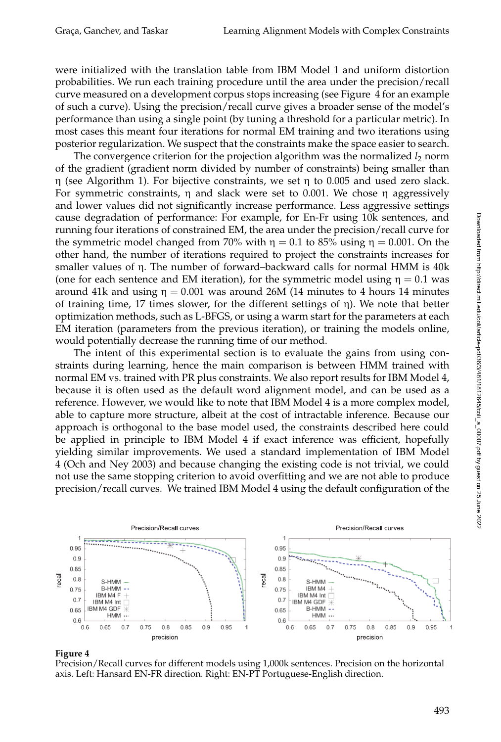were initialized with the translation table from IBM Model 1 and uniform distortion probabilities. We run each training procedure until the area under the precision/recall curve measured on a development corpus stops increasing (see Figure 4 for an example of such a curve). Using the precision/recall curve gives a broader sense of the model's performance than using a single point (by tuning a threshold for a particular metric). In most cases this meant four iterations for normal EM training and two iterations using posterior regularization. We suspect that the constraints make the space easier to search.

The convergence criterion for the projection algorithm was the normalized *l*<sub>2</sub> norm of the gradient (gradient norm divided by number of constraints) being smaller than η (see Algorithm 1). For bijective constraints, we set η to 0.005 and used zero slack. For symmetric constraints,  $\eta$  and slack were set to 0.001. We chose  $\eta$  aggressively and lower values did not significantly increase performance. Less aggressive settings cause degradation of performance: For example, for En-Fr using 10k sentences, and running four iterations of constrained EM, the area under the precision/recall curve for the symmetric model changed from 70% with  $\eta = 0.1$  to 85% using  $\eta = 0.001$ . On the other hand, the number of iterations required to project the constraints increases for smaller values of η. The number of forward–backward calls for normal HMM is 40k (one for each sentence and EM iteration), for the symmetric model using  $\eta = 0.1$  was around 41k and using  $\eta = 0.001$  was around 26M (14 minutes to 4 hours 14 minutes of training time, 17 times slower, for the different settings of η). We note that better optimization methods, such as L-BFGS, or using a warm start for the parameters at each EM iteration (parameters from the previous iteration), or training the models online, would potentially decrease the running time of our method.

The intent of this experimental section is to evaluate the gains from using constraints during learning, hence the main comparison is between HMM trained with normal EM vs. trained with PR plus constraints. We also report results for IBM Model 4, because it is often used as the default word alignment model, and can be used as a reference. However, we would like to note that IBM Model 4 is a more complex model, able to capture more structure, albeit at the cost of intractable inference. Because our approach is orthogonal to the base model used, the constraints described here could be applied in principle to IBM Model 4 if exact inference was efficient, hopefully yielding similar improvements. We used a standard implementation of IBM Model 4 (Och and Ney 2003) and because changing the existing code is not trivial, we could not use the same stopping criterion to avoid overfitting and we are not able to produce precision/recall curves. We trained IBM Model 4 using the default configuration of the



#### **Figure 4**

Precision/Recall curves for different models using 1,000k sentences. Precision on the horizontal axis. Left: Hansard EN-FR direction. Right: EN-PT Portuguese-English direction.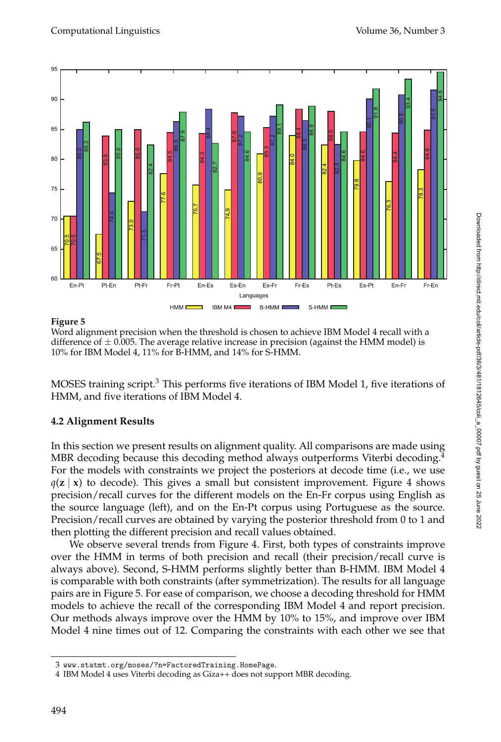

#### **Figure 5**

Word alignment precision when the threshold is chosen to achieve IBM Model 4 recall with a difference of  $\pm$  0.005. The average relative increase in precision (against the HMM model) is 10% for IBM Model 4, 11% for B-HMM, and 14% for S-HMM.

MOSES training script.<sup>3</sup> This performs five iterations of IBM Model 1, five iterations of HMM, and five iterations of IBM Model 4.

#### **4.2 Alignment Results**

In this section we present results on alignment quality. All comparisons are made using MBR decoding because this decoding method always outperforms Viterbi decoding.<sup>4</sup> For the models with constraints we project the posteriors at decode time (i.e., we use  $q(\mathbf{z} \mid \mathbf{x})$  to decode). This gives a small but consistent improvement. Figure 4 shows precision/recall curves for the different models on the En-Fr corpus using English as the source language (left), and on the En-Pt corpus using Portuguese as the source. Precision/recall curves are obtained by varying the posterior threshold from 0 to 1 and then plotting the different precision and recall values obtained.

We observe several trends from Figure 4. First, both types of constraints improve over the HMM in terms of both precision and recall (their precision/recall curve is always above). Second, S-HMM performs slightly better than B-HMM. IBM Model 4 is comparable with both constraints (after symmetrization). The results for all language pairs are in Figure 5. For ease of comparison, we choose a decoding threshold for HMM models to achieve the recall of the corresponding IBM Model 4 and report precision. Our methods always improve over the HMM by 10% to 15%, and improve over IBM Model 4 nine times out of 12. Comparing the constraints with each other we see that

<sup>3</sup> www.statmt.org/moses/?n=FactoredTraining.HomePage.

<sup>4</sup> IBM Model 4 uses Viterbi decoding as Giza++ does not support MBR decoding.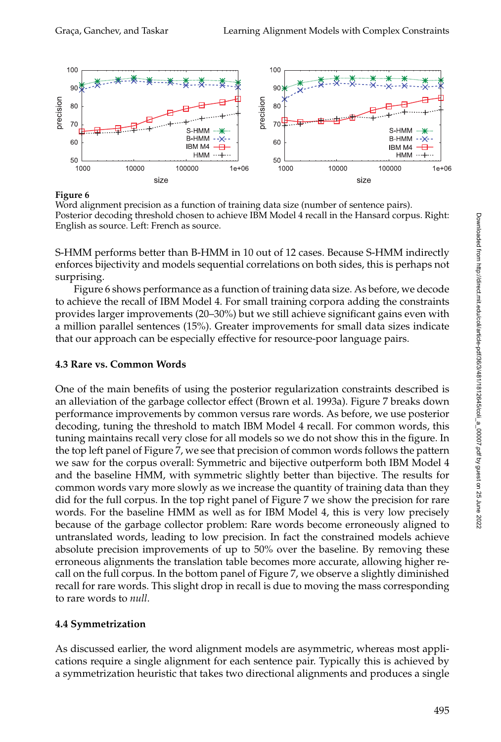

**Figure 6**

Word alignment precision as a function of training data size (number of sentence pairs). Posterior decoding threshold chosen to achieve IBM Model 4 recall in the Hansard corpus. Right: English as source. Left: French as source.

S-HMM performs better than B-HMM in 10 out of 12 cases. Because S-HMM indirectly enforces bijectivity and models sequential correlations on both sides, this is perhaps not surprising.

Figure 6 shows performance as a function of training data size. As before, we decode to achieve the recall of IBM Model 4. For small training corpora adding the constraints provides larger improvements (20–30%) but we still achieve significant gains even with a million parallel sentences (15%). Greater improvements for small data sizes indicate that our approach can be especially effective for resource-poor language pairs.

#### **4.3 Rare vs. Common Words**

One of the main benefits of using the posterior regularization constraints described is an alleviation of the garbage collector effect (Brown et al. 1993a). Figure 7 breaks down performance improvements by common versus rare words. As before, we use posterior decoding, tuning the threshold to match IBM Model 4 recall. For common words, this tuning maintains recall very close for all models so we do not show this in the figure. In the top left panel of Figure 7, we see that precision of common words follows the pattern we saw for the corpus overall: Symmetric and bijective outperform both IBM Model 4 and the baseline HMM, with symmetric slightly better than bijective. The results for common words vary more slowly as we increase the quantity of training data than they did for the full corpus. In the top right panel of Figure 7 we show the precision for rare words. For the baseline HMM as well as for IBM Model 4, this is very low precisely because of the garbage collector problem: Rare words become erroneously aligned to untranslated words, leading to low precision. In fact the constrained models achieve absolute precision improvements of up to 50% over the baseline. By removing these erroneous alignments the translation table becomes more accurate, allowing higher recall on the full corpus. In the bottom panel of Figure 7, we observe a slightly diminished recall for rare words. This slight drop in recall is due to moving the mass corresponding to rare words to *null*.

#### **4.4 Symmetrization**

As discussed earlier, the word alignment models are asymmetric, whereas most applications require a single alignment for each sentence pair. Typically this is achieved by a symmetrization heuristic that takes two directional alignments and produces a single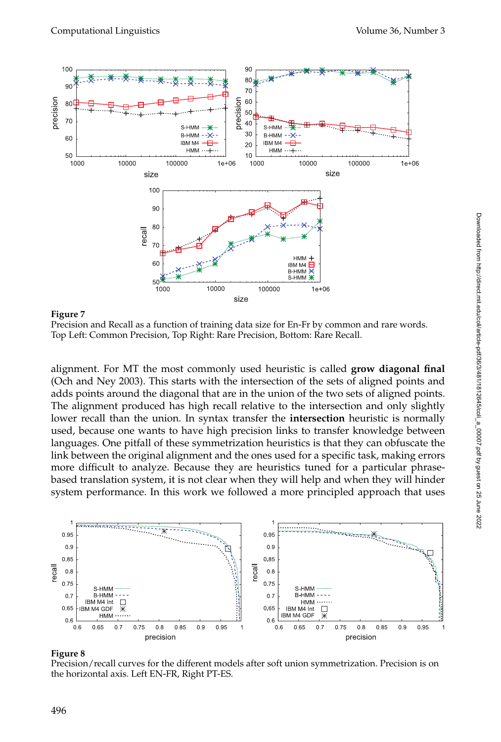

**Figure 7**

Precision and Recall as a function of training data size for En-Fr by common and rare words. Top Left: Common Precision, Top Right: Rare Precision, Bottom: Rare Recall.

alignment. For MT the most commonly used heuristic is called **grow diagonal final** (Och and Ney 2003). This starts with the intersection of the sets of aligned points and adds points around the diagonal that are in the union of the two sets of aligned points. The alignment produced has high recall relative to the intersection and only slightly lower recall than the union. In syntax transfer the **intersection** heuristic is normally used, because one wants to have high precision links to transfer knowledge between languages. One pitfall of these symmetrization heuristics is that they can obfuscate the link between the original alignment and the ones used for a specific task, making errors more difficult to analyze. Because they are heuristics tuned for a particular phrasebased translation system, it is not clear when they will help and when they will hinder system performance. In this work we followed a more principled approach that uses



#### **Figure 8**

Precision/recall curves for the different models after soft union symmetrization. Precision is on the horizontal axis. Left EN-FR, Right PT-ES.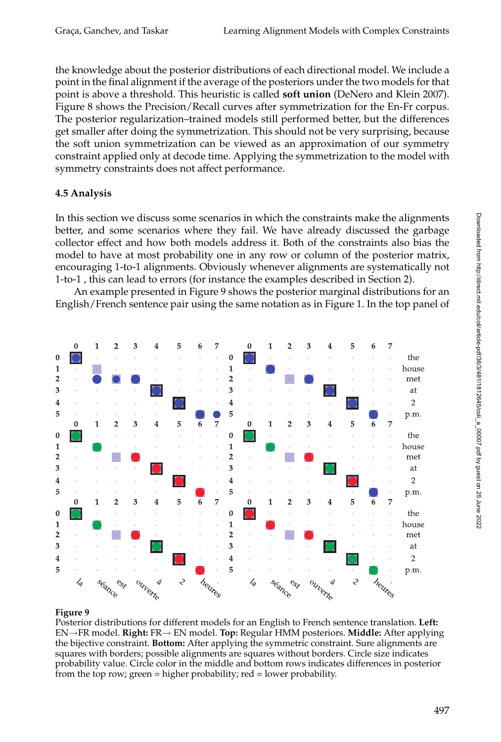the knowledge about the posterior distributions of each directional model. We include a point in the final alignment if the average of the posteriors under the two models for that point is above a threshold. This heuristic is called **soft union** (DeNero and Klein 2007). Figure 8 shows the Precision/Recall curves after symmetrization for the En-Fr corpus. The posterior regularization–trained models still performed better, but the differences get smaller after doing the symmetrization. This should not be very surprising, because the soft union symmetrization can be viewed as an approximation of our symmetry constraint applied only at decode time. Applying the symmetrization to the model with symmetry constraints does not affect performance.

# **4.5 Analysis**

In this section we discuss some scenarios in which the constraints make the alignments better, and some scenarios where they fail. We have already discussed the garbage collector effect and how both models address it. Both of the constraints also bias the model to have at most probability one in any row or column of the posterior matrix, encouraging 1-to-1 alignments. Obviously whenever alignments are systematically not 1-to-1 , this can lead to errors (for instance the examples described in Section 2).

An example presented in Figure 9 shows the posterior marginal distributions for an English/French sentence pair using the same notation as in Figure 1. In the top panel of



#### **Figure 9**

Posterior distributions for different models for an English to French sentence translation. **Left:** EN→FR model. **Right:** FR→ EN model. **Top:** Regular HMM posteriors. **Middle:** After applying the bijective constraint. **Bottom:** After applying the symmetric constraint. Sure alignments are squares with borders; possible alignments are squares without borders. Circle size indicates probability value. Circle color in the middle and bottom rows indicates differences in posterior from the top row; green = higher probability; red = lower probability.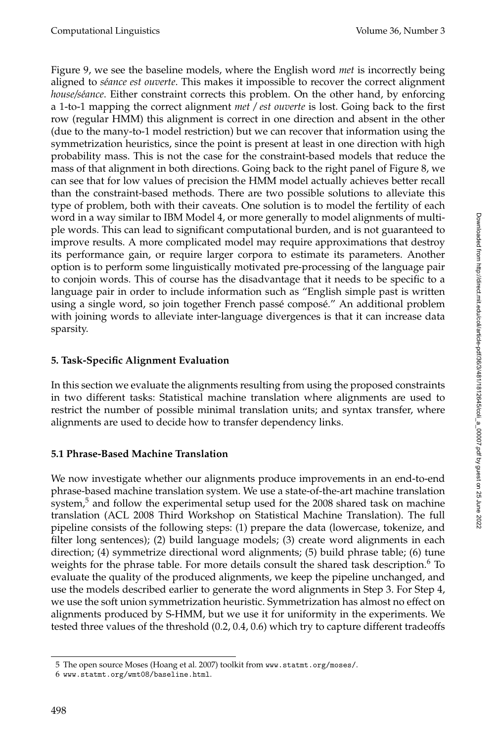Figure 9, we see the baseline models, where the English word *met* is incorrectly being aligned to *s´eance est ouverte*. This makes it impossible to recover the correct alignment *house/séance*. Either constraint corrects this problem. On the other hand, by enforcing a 1-to-1 mapping the correct alignment *met / est ouverte* is lost. Going back to the first row (regular HMM) this alignment is correct in one direction and absent in the other (due to the many-to-1 model restriction) but we can recover that information using the symmetrization heuristics, since the point is present at least in one direction with high probability mass. This is not the case for the constraint-based models that reduce the mass of that alignment in both directions. Going back to the right panel of Figure 8, we can see that for low values of precision the HMM model actually achieves better recall than the constraint-based methods. There are two possible solutions to alleviate this type of problem, both with their caveats. One solution is to model the fertility of each word in a way similar to IBM Model 4, or more generally to model alignments of multiple words. This can lead to significant computational burden, and is not guaranteed to improve results. A more complicated model may require approximations that destroy its performance gain, or require larger corpora to estimate its parameters. Another option is to perform some linguistically motivated pre-processing of the language pair to conjoin words. This of course has the disadvantage that it needs to be specific to a language pair in order to include information such as "English simple past is written using a single word, so join together French passé composé." An additional problem with joining words to alleviate inter-language divergences is that it can increase data sparsity.

#### **5. Task-Specific Alignment Evaluation**

In this section we evaluate the alignments resulting from using the proposed constraints in two different tasks: Statistical machine translation where alignments are used to restrict the number of possible minimal translation units; and syntax transfer, where alignments are used to decide how to transfer dependency links.

#### **5.1 Phrase-Based Machine Translation**

We now investigate whether our alignments produce improvements in an end-to-end phrase-based machine translation system. We use a state-of-the-art machine translation system, $5$  and follow the experimental setup used for the 2008 shared task on machine translation (ACL 2008 Third Workshop on Statistical Machine Translation). The full pipeline consists of the following steps: (1) prepare the data (lowercase, tokenize, and filter long sentences); (2) build language models; (3) create word alignments in each direction; (4) symmetrize directional word alignments; (5) build phrase table; (6) tune weights for the phrase table. For more details consult the shared task description.<sup>6</sup> To evaluate the quality of the produced alignments, we keep the pipeline unchanged, and use the models described earlier to generate the word alignments in Step 3. For Step 4, we use the soft union symmetrization heuristic. Symmetrization has almost no effect on alignments produced by S-HMM, but we use it for uniformity in the experiments. We tested three values of the threshold (0.2, 0.4, 0.6) which try to capture different tradeoffs Downloaded from http://direct.mit.edu/coli/article-pdf/36/3/481/1812645/coli\_a\_00007.pdf by guest on 25 June 2022 Downloaded from http://direct.mit.edu/coli/article-pdf/36/3/481/1812645/coli\_a\_00007.pdf by guest on 25 June 2022

<sup>5</sup> The open source Moses (Hoang et al. 2007) toolkit from www.statmt.org/moses/.

<sup>6</sup> www.statmt.org/wmt08/baseline.html.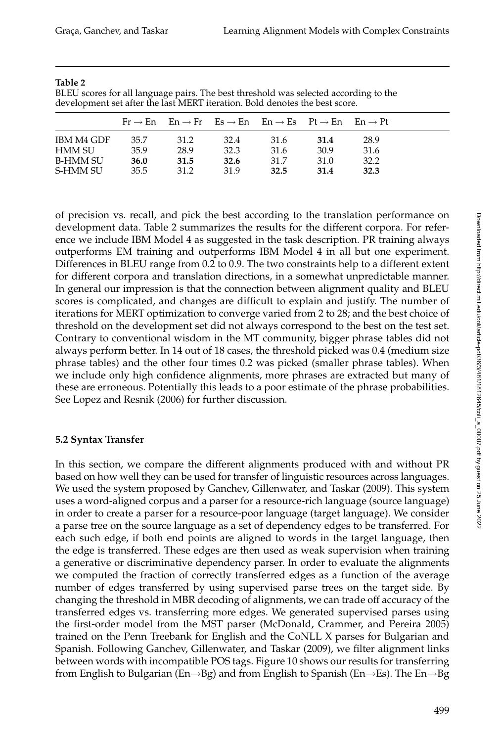| ٠<br>٧<br>٠<br>I<br>٠ |  |
|-----------------------|--|
|-----------------------|--|

BLEU scores for all language pairs. The best threshold was selected according to the development set after the last MERT iteration. Bold denotes the best score.

|                   |      |      |      | $Fr \rightarrow En$ $En \rightarrow Fr$ $Es \rightarrow En$ $En \rightarrow Es$ $Pt \rightarrow En$ $En \rightarrow Pt$ |      |      |  |
|-------------------|------|------|------|-------------------------------------------------------------------------------------------------------------------------|------|------|--|
| <b>IBM M4 GDF</b> | 35.7 | 31.2 | 32.4 | 31.6                                                                                                                    | 31.4 | 28.9 |  |
| HMM SU            | 35.9 | 28.9 | 32.3 | 31.6                                                                                                                    | 30.9 | 31.6 |  |
| <b>B-HMM SU</b>   | 36.0 | 31.5 | 32.6 | 31.7                                                                                                                    | 31.0 | 32.2 |  |
| S-HMM SU          | 35.5 | 31.2 | 31.9 | 32.5                                                                                                                    | 31.4 | 32.3 |  |

of precision vs. recall, and pick the best according to the translation performance on development data. Table 2 summarizes the results for the different corpora. For reference we include IBM Model 4 as suggested in the task description. PR training always outperforms EM training and outperforms IBM Model 4 in all but one experiment. Differences in BLEU range from 0.2 to 0.9. The two constraints help to a different extent for different corpora and translation directions, in a somewhat unpredictable manner. In general our impression is that the connection between alignment quality and BLEU scores is complicated, and changes are difficult to explain and justify. The number of iterations for MERT optimization to converge varied from 2 to 28; and the best choice of threshold on the development set did not always correspond to the best on the test set. Contrary to conventional wisdom in the MT community, bigger phrase tables did not always perform better. In 14 out of 18 cases, the threshold picked was 0.4 (medium size phrase tables) and the other four times 0.2 was picked (smaller phrase tables). When we include only high confidence alignments, more phrases are extracted but many of these are erroneous. Potentially this leads to a poor estimate of the phrase probabilities. See Lopez and Resnik (2006) for further discussion.

#### **5.2 Syntax Transfer**

In this section, we compare the different alignments produced with and without PR based on how well they can be used for transfer of linguistic resources across languages. We used the system proposed by Ganchev, Gillenwater, and Taskar (2009). This system uses a word-aligned corpus and a parser for a resource-rich language (source language) in order to create a parser for a resource-poor language (target language). We consider a parse tree on the source language as a set of dependency edges to be transferred. For each such edge, if both end points are aligned to words in the target language, then the edge is transferred. These edges are then used as weak supervision when training a generative or discriminative dependency parser. In order to evaluate the alignments we computed the fraction of correctly transferred edges as a function of the average number of edges transferred by using supervised parse trees on the target side. By changing the threshold in MBR decoding of alignments, we can trade off accuracy of the transferred edges vs. transferring more edges. We generated supervised parses using the first-order model from the MST parser (McDonald, Crammer, and Pereira 2005) trained on the Penn Treebank for English and the CoNLL X parses for Bulgarian and Spanish. Following Ganchev, Gillenwater, and Taskar (2009), we filter alignment links between words with incompatible POS tags. Figure 10 shows our results for transferring from English to Bulgarian (En→Bg) and from English to Spanish (En→Es). The En→Bg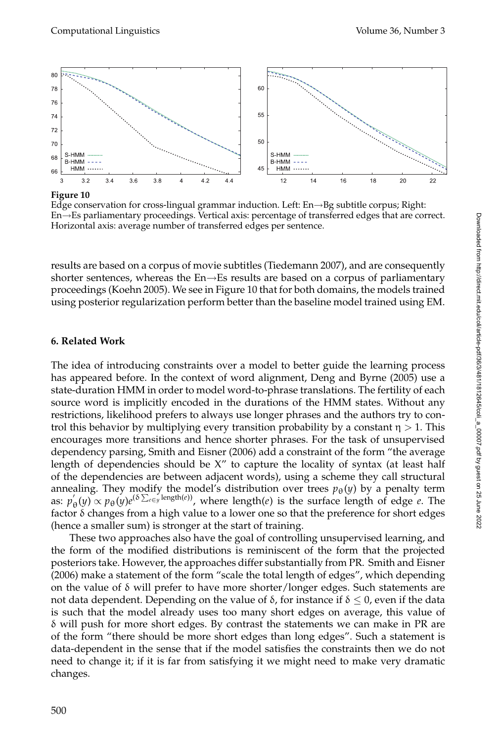

**Figure 10**

Edge conservation for cross-lingual grammar induction. Left: En→Bg subtitle corpus; Right: En→Es parliamentary proceedings. Vertical axis: percentage of transferred edges that are correct. Horizontal axis: average number of transferred edges per sentence.

results are based on a corpus of movie subtitles (Tiedemann 2007), and are consequently shorter sentences, whereas the  $En \rightarrow Es$  results are based on a corpus of parliamentary proceedings (Koehn 2005). We see in Figure 10 that for both domains, the models trained using posterior regularization perform better than the baseline model trained using EM.

## **6. Related Work**

The idea of introducing constraints over a model to better guide the learning process has appeared before. In the context of word alignment, Deng and Byrne (2005) use a state-duration HMM in order to model word-to-phrase translations. The fertility of each source word is implicitly encoded in the durations of the HMM states. Without any restrictions, likelihood prefers to always use longer phrases and the authors try to control this behavior by multiplying every transition probability by a constant  $\eta > 1$ . This encourages more transitions and hence shorter phrases. For the task of unsupervised dependency parsing, Smith and Eisner (2006) add a constraint of the form "the average length of dependencies should be X" to capture the locality of syntax (at least half of the dependencies are between adjacent words), using a scheme they call structural annealing. They modify the model's distribution over trees  $p_{\theta}(y)$  by a penalty term as:  $p'_{\theta}(y) \propto p_{\theta}(y) e^{(\delta \sum_{e \in y} \text{length}(e))}$ , where length(*e*) is the surface length of edge *e*. The factor  $\delta$  changes from a high value to a lower one so that the preference for short edges (hence a smaller sum) is stronger at the start of training.

These two approaches also have the goal of controlling unsupervised learning, and the form of the modified distributions is reminiscent of the form that the projected posteriors take. However, the approaches differ substantially from PR. Smith and Eisner (2006) make a statement of the form "scale the total length of edges", which depending on the value of  $\delta$  will prefer to have more shorter/longer edges. Such statements are not data dependent. Depending on the value of δ, for instance if  $δ ≤ 0$ , even if the data is such that the model already uses too many short edges on average, this value of  $\delta$  will push for more short edges. By contrast the statements we can make in PR are of the form "there should be more short edges than long edges". Such a statement is data-dependent in the sense that if the model satisfies the constraints then we do not need to change it; if it is far from satisfying it we might need to make very dramatic changes.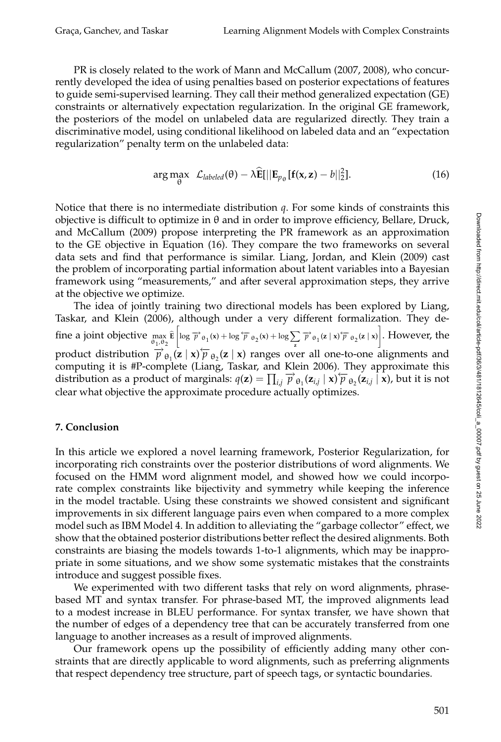PR is closely related to the work of Mann and McCallum (2007, 2008), who concurrently developed the idea of using penalties based on posterior expectations of features to guide semi-supervised learning. They call their method generalized expectation (GE) constraints or alternatively expectation regularization. In the original GE framework, the posteriors of the model on unlabeled data are regularized directly. They train a discriminative model, using conditional likelihood on labeled data and an "expectation regularization" penalty term on the unlabeled data:

$$
\arg\max_{\theta} \ \mathcal{L}_{labeled}(\theta) - \lambda \widehat{\mathbf{E}}[||\mathbf{E}_{p_{\theta}}[\mathbf{f}(\mathbf{x}, \mathbf{z}) - b||_2^2]. \tag{16}
$$

Notice that there is no intermediate distribution *q*. For some kinds of constraints this objective is difficult to optimize in  $θ$  and in order to improve efficiency, Bellare, Druck, and McCallum (2009) propose interpreting the PR framework as an approximation to the GE objective in Equation (16). They compare the two frameworks on several data sets and find that performance is similar. Liang, Jordan, and Klein (2009) cast the problem of incorporating partial information about latent variables into a Bayesian framework using "measurements," and after several approximation steps, they arrive at the objective we optimize.

The idea of jointly training two directional models has been explored by Liang, Taskar, and Klein (2006), although under a very different formalization. They define a joint objective max θ1,θ<sup>2</sup> **E**  $\left[\log \overrightarrow{p}_{\theta_1}(x) + \log \overleftarrow{p}_{\theta_2}(x) + \log \sum_{\mathbf{z}} \overrightarrow{p}_{\theta_1}(\mathbf{z} \mid \mathbf{x}) \overleftarrow{p}_{\theta_2}(\mathbf{z} \mid \mathbf{x})\right].$  However, the product distribution  $\overrightarrow{p}_{\theta_1}^2(z|x) \overleftarrow{p}_{\theta_2}(z|x)$  ranges over all one-to-one alignments and computing it is #P-complete (Liang, Taskar, and Klein 2006). They approximate this distribution as a product of marginals:  $q(\mathbf{z}) = \prod_{i,j} \vec{p}_{\theta_1}(\mathbf{z}_{i,j} \mid \mathbf{x}) \vec{p}_{\theta_2}(\mathbf{z}_{i,j} \mid \mathbf{x})$ , but it is not clear what objective the approximate procedure actually optimizes.

#### **7. Conclusion**

In this article we explored a novel learning framework, Posterior Regularization, for incorporating rich constraints over the posterior distributions of word alignments. We focused on the HMM word alignment model, and showed how we could incorporate complex constraints like bijectivity and symmetry while keeping the inference in the model tractable. Using these constraints we showed consistent and significant improvements in six different language pairs even when compared to a more complex model such as IBM Model 4. In addition to alleviating the "garbage collector" effect, we show that the obtained posterior distributions better reflect the desired alignments. Both constraints are biasing the models towards 1-to-1 alignments, which may be inappropriate in some situations, and we show some systematic mistakes that the constraints introduce and suggest possible fixes.

We experimented with two different tasks that rely on word alignments, phrasebased MT and syntax transfer. For phrase-based MT, the improved alignments lead to a modest increase in BLEU performance. For syntax transfer, we have shown that the number of edges of a dependency tree that can be accurately transferred from one language to another increases as a result of improved alignments.

Our framework opens up the possibility of efficiently adding many other constraints that are directly applicable to word alignments, such as preferring alignments that respect dependency tree structure, part of speech tags, or syntactic boundaries.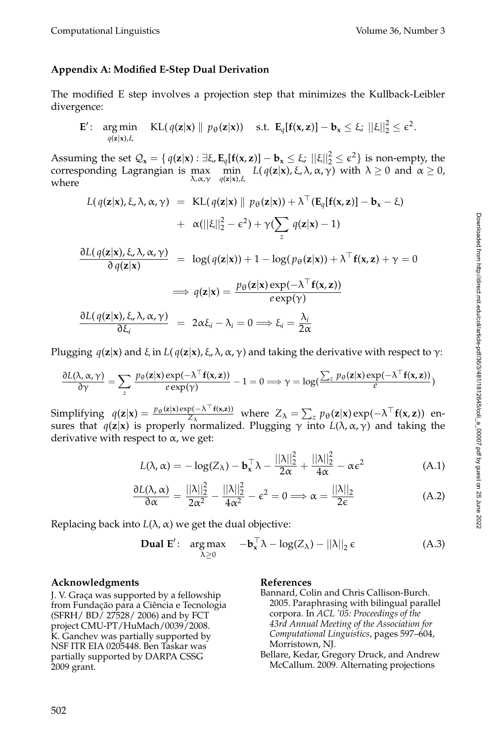#### **Appendix A: Modified E-Step Dual Derivation**

The modified E step involves a projection step that minimizes the Kullback-Leibler divergence:

$$
\mathbf{E}'\colon \argmin_{q(\mathbf{z}|\mathbf{x}),\xi} \operatorname{KL}(q(\mathbf{z}|\mathbf{x}) \parallel p_{\theta}(\mathbf{z}|\mathbf{x})) \quad \text{s.t. } \mathbf{E}_q[\mathbf{f}(\mathbf{x},\mathbf{z})] - \mathbf{b}_\mathbf{x} \leq \xi; \ ||\xi||_2^2 \leq \epsilon^2.
$$

Assuming the set  $\mathcal{Q}_{\mathbf{x}} = \{ q(\mathbf{z}|\mathbf{x}) : \exists \xi, \mathbf{E}_{q}[\mathbf{f}(\mathbf{x}, \mathbf{z})] - \mathbf{b}_{\mathbf{x}} \leq \xi; ||\xi||_2^2 \leq \epsilon^2 \}$  is non-empty, the corresponding Lagrangian is max min  $L(q(\mathbf{z}|\mathbf{x}), \xi, \lambda, \alpha, \gamma)$  with  $\lambda \geq 0$  and  $\alpha \geq 0$ , *q*(**z**|**x**),ξ where

$$
L(q(\mathbf{z}|\mathbf{x}), \xi, \lambda, \alpha, \gamma) = \text{KL}(q(\mathbf{z}|\mathbf{x}) \parallel p_{\theta}(\mathbf{z}|\mathbf{x})) + \lambda^{\top} (\mathbf{E}_{q}[\mathbf{f}(\mathbf{x}, \mathbf{z})] - \mathbf{b}_{\mathbf{x}} - \xi)
$$
  
+  $\alpha(||\xi||_{2}^{2} - \epsilon^{2}) + \gamma (\sum_{z} q(\mathbf{z}|\mathbf{x}) - 1)$   

$$
\frac{\partial L(q(\mathbf{z}|\mathbf{x}), \xi, \lambda, \alpha, \gamma)}{\partial q(\mathbf{z}|\mathbf{x})} = \log(q(\mathbf{z}|\mathbf{x})) + 1 - \log(p_{\theta}(\mathbf{z}|\mathbf{x})) + \lambda^{\top} \mathbf{f}(\mathbf{x}, \mathbf{z}) + \gamma = 0
$$
  
 $\implies q(\mathbf{z}|\mathbf{x}) = \frac{p_{\theta}(\mathbf{z}|\mathbf{x}) \exp(-\lambda^{\top} \mathbf{f}(\mathbf{x}, \mathbf{z}))}{2 \exp(-\lambda^{\top} \mathbf{f}(\mathbf{x}, \mathbf{z}))}$ 

$$
\frac{\partial L(q(\mathbf{z}|\mathbf{x}), \xi, \lambda, \alpha, \gamma)}{\partial \xi_i} = 2\alpha \xi_i - \lambda_i = 0 \Longrightarrow \xi_i = \frac{\lambda_i}{2\alpha}
$$

Plugging  $q(z|x)$  and ξ in  $L(q(z|x), \xi, \lambda, \alpha, \gamma)$  and taking the derivative with respect to γ:

$$
\frac{\partial L(\lambda, \alpha, \gamma)}{\partial \gamma} = \sum_{z} \frac{p_{\theta}(\mathbf{z}|\mathbf{x}) \exp(-\lambda^{\top} \mathbf{f}(\mathbf{x}, \mathbf{z}))}{e \exp(\gamma)} - 1 = 0 \Longrightarrow \gamma = \log(\frac{\sum_{z} p_{\theta}(\mathbf{z}|\mathbf{x}) \exp(-\lambda^{\top} \mathbf{f}(\mathbf{x}, \mathbf{z}))}{e})
$$

Simplifying  $q(\mathbf{z}|\mathbf{x}) = \frac{p_{\theta}(\mathbf{z}|\mathbf{x}) \exp(-\lambda^\top \mathbf{f}(\mathbf{x}, \mathbf{z}))}{Z_{\lambda}}$  where  $Z_{\lambda} = \sum_{z} p_{\theta}(\mathbf{z}|\mathbf{x}) \exp(-\lambda^\top \mathbf{f}(\mathbf{x}, \mathbf{z}))$  ensures that *q*(**z**|**x**) is properly normalized. Plugging γ into *L*(λ,α, γ) and taking the derivative with respect to  $\alpha$ , we get:

$$
L(\lambda, \alpha) = -\log(Z_{\lambda}) - \mathbf{b}_{\mathbf{x}}^{\top} \lambda - \frac{||\lambda||_2^2}{2\alpha} + \frac{||\lambda||_2^2}{4\alpha} - \alpha \varepsilon^2
$$
 (A.1)

 $e \exp(\gamma)$ 

$$
\frac{\partial L(\lambda, \alpha)}{\partial \alpha} = \frac{||\lambda||_2^2}{2\alpha^2} - \frac{||\lambda||_2^2}{4\alpha^2} - \epsilon^2 = 0 \Longrightarrow \alpha = \frac{||\lambda||_2}{2\epsilon}
$$
(A.2)

Replacing back into  $L(\lambda, \alpha)$  we get the dual objective:

**Dual E'**: arg max 
$$
-\mathbf{b}_{x}^{\top} \lambda - \log(Z_{\lambda}) - ||\lambda||_{2} \epsilon
$$
 (A.3)

#### **Acknowledgments**

J. V. Graça was supported by a fellowship from Fundação para a Ciência e Tecnologia (SFRH/ BD/ 27528/ 2006) and by FCT project CMU-PT/HuMach/0039/2008. K. Ganchev was partially supported by NSF ITR EIA 0205448. Ben Taskar was partially supported by DARPA CSSG 2009 grant.

#### **References**

- Bannard, Colin and Chris Callison-Burch. 2005. Paraphrasing with bilingual parallel corpora. In *ACL '05: Proceedings of the 43rd Annual Meeting of the Association for Computational Linguistics*, pages 597–604, Morristown, NJ.
- Bellare, Kedar, Gregory Druck, and Andrew McCallum. 2009. Alternating projections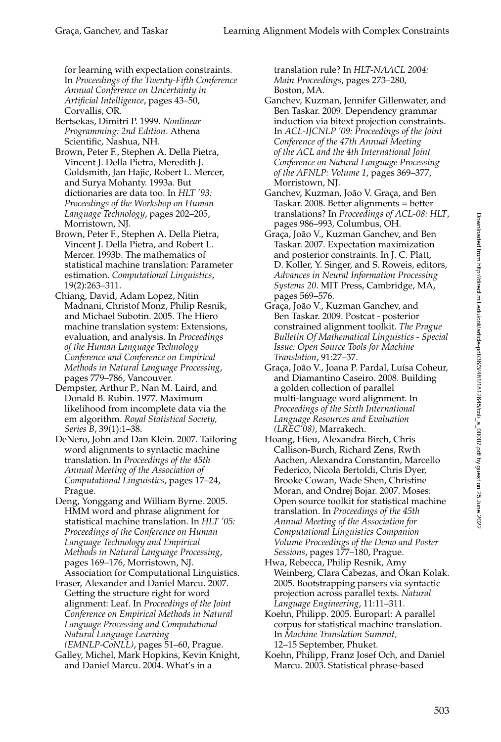for learning with expectation constraints. In *Proceedings of the Twenty-Fifth Conference Annual Conference on Uncertainty in Artificial Intelligence*, pages 43–50, Corvallis, OR.

- Bertsekas, Dimitri P. 1999. *Nonlinear Programming: 2nd Edition*. Athena Scientific, Nashua, NH.
- Brown, Peter F., Stephen A. Della Pietra, Vincent J. Della Pietra, Meredith J. Goldsmith, Jan Hajic, Robert L. Mercer, and Surya Mohanty. 1993a. But dictionaries are data too. In *HLT '93: Proceedings of the Workshop on Human Language Technology*, pages 202–205, Morristown, NJ.
- Brown, Peter F., Stephen A. Della Pietra, Vincent J. Della Pietra, and Robert L. Mercer. 1993b. The mathematics of statistical machine translation: Parameter estimation. *Computational Linguistics*, 19(2):263–311.
- Chiang, David, Adam Lopez, Nitin Madnani, Christof Monz, Philip Resnik, and Michael Subotin. 2005. The Hiero machine translation system: Extensions, evaluation, and analysis. In *Proceedings of the Human Language Technology Conference and Conference on Empirical Methods in Natural Language Processing*, pages 779–786, Vancouver.
- Dempster, Arthur P., Nan M. Laird, and Donald B. Rubin. 1977. Maximum likelihood from incomplete data via the em algorithm. *Royal Statistical Society, Series B*, 39(1):1–38.
- DeNero, John and Dan Klein. 2007. Tailoring word alignments to syntactic machine translation. In *Proceedings of the 45th Annual Meeting of the Association of Computational Linguistics*, pages 17–24, Prague.
- Deng, Yonggang and William Byrne. 2005. HMM word and phrase alignment for statistical machine translation. In *HLT '05: Proceedings of the Conference on Human Language Technology and Empirical Methods in Natural Language Processing*, pages 169–176, Morristown, NJ. Association for Computational Linguistics.
- Fraser, Alexander and Daniel Marcu. 2007. Getting the structure right for word alignment: Leaf. In *Proceedings of the Joint Conference on Empirical Methods in Natural Language Processing and Computational Natural Language Learning (EMNLP-CoNLL)*, pages 51–60, Prague.
- Galley, Michel, Mark Hopkins, Kevin Knight, and Daniel Marcu. 2004. What's in a

translation rule? In *HLT-NAACL 2004: Main Proceedings*, pages 273–280, Boston, MA.

- Ganchev, Kuzman, Jennifer Gillenwater, and Ben Taskar. 2009. Dependency grammar induction via bitext projection constraints. In *ACL-IJCNLP '09: Proceedings of the Joint Conference of the 47th Annual Meeting of the ACL and the 4th International Joint Conference on Natural Language Processing of the AFNLP: Volume 1*, pages 369–377, Morristown, NJ.
- Ganchev, Kuzman, João V. Graça, and Ben Taskar. 2008. Better alignments = better translations? In *Proceedings of ACL-08: HLT*, pages 986–993, Columbus, OH.
- Graça, João V., Kuzman Ganchev, and Ben Taskar. 2007. Expectation maximization and posterior constraints. In J. C. Platt, D. Koller, Y. Singer, and S. Roweis, editors, *Advances in Neural Information Processing Systems 20*. MIT Press, Cambridge, MA, pages 569–576.
- Graça, João V., Kuzman Ganchev, and Ben Taskar. 2009. Postcat - posterior constrained alignment toolkit. *The Prague Bulletin Of Mathematical Linguistics - Special Issue: Open Source Tools for Machine Translation*, 91:27–37.
- Graça, João V., Joana P. Pardal, Luísa Coheur, and Diamantino Caseiro. 2008. Building a golden collection of parallel multi-language word alignment. In *Proceedings of the Sixth International Language Resources and Evaluation (LREC'08)*, Marrakech.
- Hoang, Hieu, Alexandra Birch, Chris Callison-Burch, Richard Zens, Rwth Aachen, Alexandra Constantin, Marcello Federico, Nicola Bertoldi, Chris Dyer, Brooke Cowan, Wade Shen, Christine Moran, and Ondrej Bojar. 2007. Moses: Open source toolkit for statistical machine translation. In *Proceedings of the 45th Annual Meeting of the Association for Computational Linguistics Companion Volume Proceedings of the Demo and Poster Sessions*, pages 177–180, Prague.
- Hwa, Rebecca, Philip Resnik, Amy Weinberg, Clara Cabezas, and Okan Kolak. 2005. Bootstrapping parsers via syntactic projection across parallel texts. *Natural Language Engineering*, 11:11–311.
- Koehn, Philipp. 2005. Europarl: A parallel corpus for statistical machine translation. In *Machine Translation Summit,* 12–15 September, Phuket.
- Koehn, Philipp, Franz Josef Och, and Daniel Marcu. 2003. Statistical phrase-based